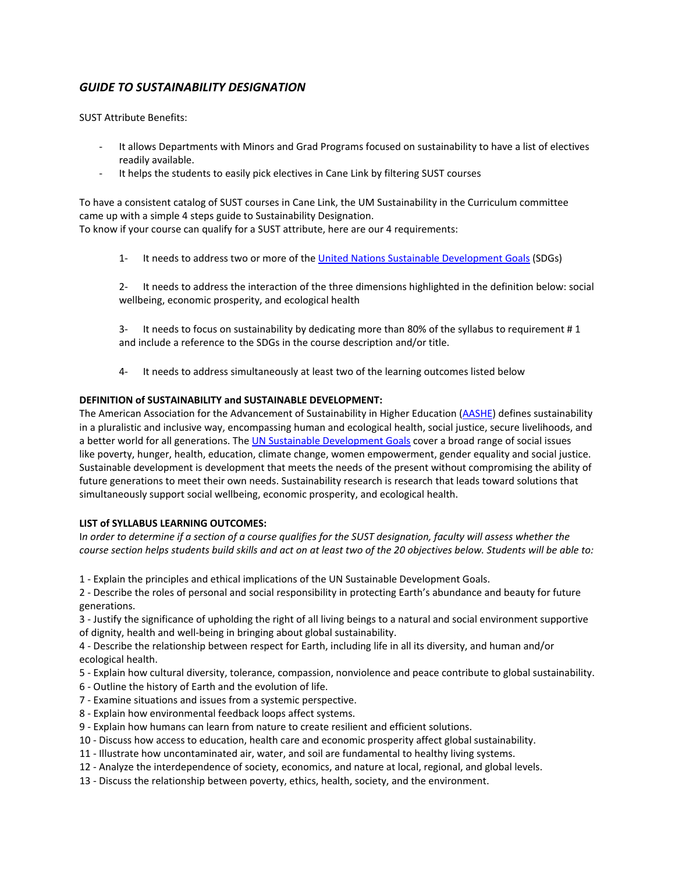## *GUIDE TO SUSTAINABILITY DESIGNATION*

SUST Attribute Benefits:

- It allows Departments with Minors and Grad Programs focused on sustainability to have a list of electives readily available.
- It helps the students to easily pick electives in Cane Link by filtering SUST courses

To have a consistent catalog of SUST courses in Cane Link, the UM Sustainability in the Curriculum committee came up with a simple 4 steps guide to Sustainability Designation. To know if your course can qualify for a SUST attribute, here are our 4 requirements:

1- It needs to address two or more of th[e United Nations Sustainable Development Goals](https://nam01.safelinks.protection.outlook.com/?url=https%3A%2F%2Fwww.un.org%2Fsustainabledevelopment%2Fsustainable-development-goals%2F&data=02%7C01%7Cteddyl%40miami.edu%7Ce76784ed7bb94ba63a9c08d6ffd450eb%7C2a144b72f23942d48c0e6f0f17c48e33%7C0%7C0%7C636977684689168778&sdata=xf3oCtizFt9InZvrXsV8D5y7lvG0OWvl2W53iauXYOc%3D&reserved=0) (SDGs)

2- It needs to address the interaction of the three dimensions highlighted in the definition below: social wellbeing, economic prosperity, and ecological health

3- It needs to focus on sustainability by dedicating more than 80% of the syllabus to requirement # 1 and include a reference to the SDGs in the course description and/or title.

4- It needs to address simultaneously at least two of the learning outcomes listed below

### **DEFINITION of SUSTAINABILITY and SUSTAINABLE DEVELOPMENT:**

The American Association for the Advancement of Sustainability in Higher Education [\(AASHE\)](https://nam01.safelinks.protection.outlook.com/?url=http%3A%2F%2Fwww.aashe.org%2F&data=02%7C01%7Cteddyl%40miami.edu%7Ce76784ed7bb94ba63a9c08d6ffd450eb%7C2a144b72f23942d48c0e6f0f17c48e33%7C0%7C0%7C636977684689168778&sdata=Z60JPvmihcef0mCr1kihmwg1idCxQAIhTd4y8lAI%2BoY%3D&reserved=0) defines sustainability in a pluralistic and inclusive way, encompassing human and ecological health, social justice, secure livelihoods, and a better world for all generations. The [UN Sustainable Development Goals](https://nam01.safelinks.protection.outlook.com/?url=http%3A%2F%2Fwww.un.org%2Fsustainabledevelopment%2Fsustainable-development-goals%2F&data=02%7C01%7Cteddyl%40miami.edu%7Ce76784ed7bb94ba63a9c08d6ffd450eb%7C2a144b72f23942d48c0e6f0f17c48e33%7C0%7C0%7C636977684689178776&sdata=U%2B4mHaPUbNk6IC%2B5btuULdKclFeZD%2FPKiN2818pLgqk%3D&reserved=0) cover a broad range of social issues like poverty, hunger, health, education, climate change, women empowerment, gender equality and social justice. Sustainable development is development that meets the needs of the present without compromising the ability of future generations to meet their own needs. Sustainability research is research that leads toward solutions that simultaneously support social wellbeing, economic prosperity, and ecological health.

#### **LIST of SYLLABUS LEARNING OUTCOMES:**

I*n order to determine if a section of a course qualifies for the SUST designation, faculty will assess whether the course section helps students build skills and act on at least two of the 20 objectives below. Students will be able to:*

1 - Explain the principles and ethical implications of the UN Sustainable Development Goals.

2 - Describe the roles of personal and social responsibility in protecting Earth's abundance and beauty for future generations.

3 - Justify the significance of upholding the right of all living beings to a natural and social environment supportive of dignity, health and well-being in bringing about global sustainability.

4 - Describe the relationship between respect for Earth, including life in all its diversity, and human and/or ecological health.

- 5 Explain how cultural diversity, tolerance, compassion, nonviolence and peace contribute to global sustainability.
- 6 Outline the history of Earth and the evolution of life.
- 7 Examine situations and issues from a systemic perspective.
- 8 Explain how environmental feedback loops affect systems.
- 9 Explain how humans can learn from nature to create resilient and efficient solutions.
- 10 Discuss how access to education, health care and economic prosperity affect global sustainability.
- 11 Illustrate how uncontaminated air, water, and soil are fundamental to healthy living systems.
- 12 Analyze the interdependence of society, economics, and nature at local, regional, and global levels.
- 13 Discuss the relationship between poverty, ethics, health, society, and the environment.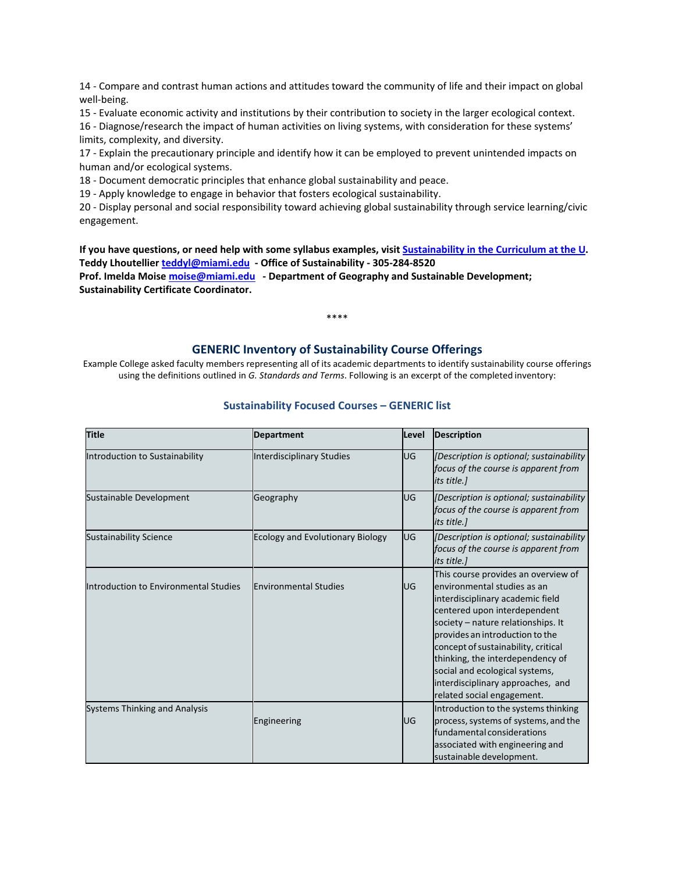14 - Compare and contrast human actions and attitudes toward the community of life and their impact on global well-being.

15 - Evaluate economic activity and institutions by their contribution to society in the larger ecological context. 16 - Diagnose/research the impact of human activities on living systems, with consideration for these systems' limits, complexity, and diversity.

17 - Explain the precautionary principle and identify how it can be employed to prevent unintended impacts on human and/or ecological systems.

18 - Document democratic principles that enhance global sustainability and peace.

19 - Apply knowledge to engage in behavior that fosters ecological sustainability.

20 - Display personal and social responsibility toward achieving global sustainability through service learning/civic engagement.

**If you have questions, or need help with some syllabus examples, visi[t Sustainability in the Curriculum at the U.](https://nam01.safelinks.protection.outlook.com/?url=https%3A%2F%2Fgreenu.miami.edu%2Ftopics%2Fcurriculum%2Ffaculty-resources%2Findex.html%23curri&data=02%7C01%7Cteddyl%40miami.edu%7Ce76784ed7bb94ba63a9c08d6ffd450eb%7C2a144b72f23942d48c0e6f0f17c48e33%7C0%7C0%7C636977684689178776&sdata=b86i1vap5g3aJi37jgkSsMFmNxwTjlhMKyXcjKFdqbM%3D&reserved=0) Teddy Lhoutellier [teddyl@miami.edu](mailto:teddyl@miami.edu) - Office of Sustainability - 305-284-8520 Prof. Imelda Moise [moise@miami.edu](mailto:moise@miami.edu) - Department of Geography and Sustainable Development; Sustainability Certificate Coordinator.**

# **GENERIC Inventory of Sustainability Course Offerings**

\*\*\*\*

Example College asked faculty members representing all of its academic departments to identify sustainability course offerings using the definitions outlined in *G. Standards and Terms*. Following is an excerpt of the completed inventory:

| <b>Title</b>                                 | <b>Department</b>                       | Level     | <b>Description</b>                                                                                                                                                                                                                                                                                                                                                                              |
|----------------------------------------------|-----------------------------------------|-----------|-------------------------------------------------------------------------------------------------------------------------------------------------------------------------------------------------------------------------------------------------------------------------------------------------------------------------------------------------------------------------------------------------|
| Introduction to Sustainability               | <b>Interdisciplinary Studies</b>        | <b>UG</b> | [Description is optional; sustainability<br>focus of the course is apparent from<br>its title.]                                                                                                                                                                                                                                                                                                 |
| Sustainable Development                      | Geography                               | <b>UG</b> | [Description is optional; sustainability<br>focus of the course is apparent from<br>its title.]                                                                                                                                                                                                                                                                                                 |
| <b>Sustainability Science</b>                | <b>Ecology and Evolutionary Biology</b> | lug       | [Description is optional; sustainability<br>focus of the course is apparent from<br>its title.]                                                                                                                                                                                                                                                                                                 |
| <b>Introduction to Environmental Studies</b> | <b>Environmental Studies</b>            | lug       | This course provides an overview of<br>environmental studies as an<br>interdisciplinary academic field<br>centered upon interdependent<br>society - nature relationships. It<br>provides an introduction to the<br>concept of sustainability, critical<br>thinking, the interdependency of<br>social and ecological systems,<br>interdisciplinary approaches, and<br>related social engagement. |
| <b>Systems Thinking and Analysis</b>         | Engineering                             | UG        | Introduction to the systems thinking<br>process, systems of systems, and the<br>fundamental considerations<br>associated with engineering and<br>sustainable development.                                                                                                                                                                                                                       |

#### **Sustainability Focused Courses – GENERIC list**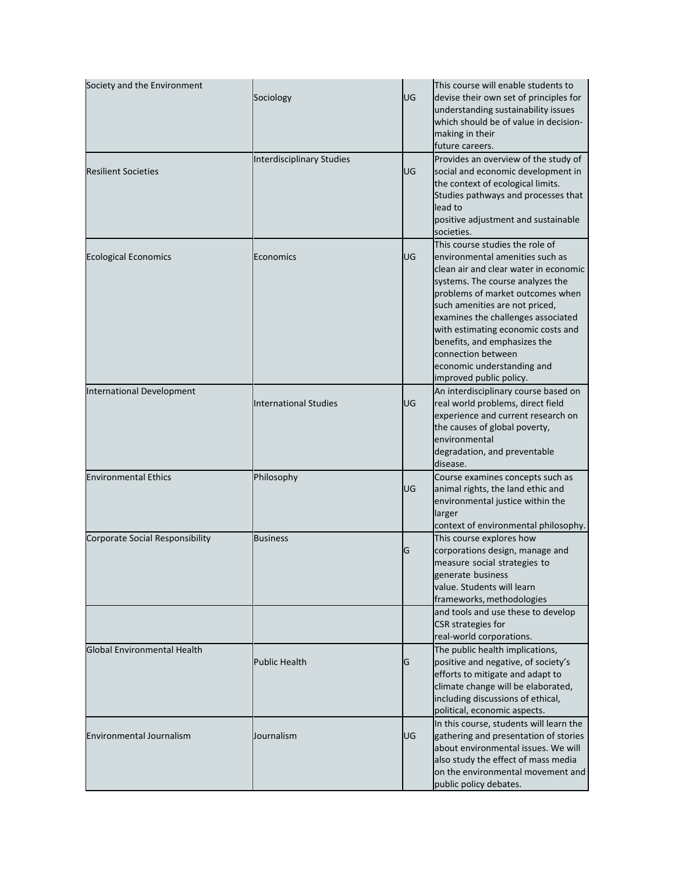| Society and the Environment      | Sociology                        | UG        | This course will enable students to<br>devise their own set of principles for<br>understanding sustainability issues<br>which should be of value in decision-<br>making in their<br>future careers.                                                                                                                                                                                                              |
|----------------------------------|----------------------------------|-----------|------------------------------------------------------------------------------------------------------------------------------------------------------------------------------------------------------------------------------------------------------------------------------------------------------------------------------------------------------------------------------------------------------------------|
| <b>Resilient Societies</b>       | <b>Interdisciplinary Studies</b> | UG        | Provides an overview of the study of<br>social and economic development in<br>the context of ecological limits.<br>Studies pathways and processes that<br>lead to<br>positive adjustment and sustainable<br>societies.                                                                                                                                                                                           |
| <b>Ecological Economics</b>      | Economics                        | UG        | This course studies the role of<br>environmental amenities such as<br>clean air and clear water in economic<br>systems. The course analyzes the<br>problems of market outcomes when<br>such amenities are not priced,<br>examines the challenges associated<br>with estimating economic costs and<br>benefits, and emphasizes the<br>connection between<br>economic understanding and<br>improved public policy. |
| <b>International Development</b> | <b>International Studies</b>     | <b>UG</b> | An interdisciplinary course based on<br>real world problems, direct field<br>experience and current research on<br>the causes of global poverty,<br>environmental<br>degradation, and preventable<br>disease.                                                                                                                                                                                                    |
| <b>Environmental Ethics</b>      | Philosophy                       | UG        | Course examines concepts such as<br>animal rights, the land ethic and<br>environmental justice within the<br>larger<br>context of environmental philosophy.                                                                                                                                                                                                                                                      |
| Corporate Social Responsibility  | <b>Business</b>                  | G         | This course explores how<br>corporations design, manage and<br>measure social strategies to<br>generate business<br>value. Students will learn<br>frameworks, methodologies<br>and tools and use these to develop                                                                                                                                                                                                |
|                                  |                                  |           | CSR strategies for<br>real-world corporations.                                                                                                                                                                                                                                                                                                                                                                   |
| Global Environmental Health      | <b>Public Health</b>             | G         | The public health implications,<br>positive and negative, of society's<br>efforts to mitigate and adapt to<br>climate change will be elaborated,<br>including discussions of ethical,<br>political, economic aspects.                                                                                                                                                                                            |
| <b>Environmental Journalism</b>  | Journalism                       | UG        | In this course, students will learn the<br>gathering and presentation of stories<br>about environmental issues. We will<br>also study the effect of mass media<br>on the environmental movement and<br>public policy debates.                                                                                                                                                                                    |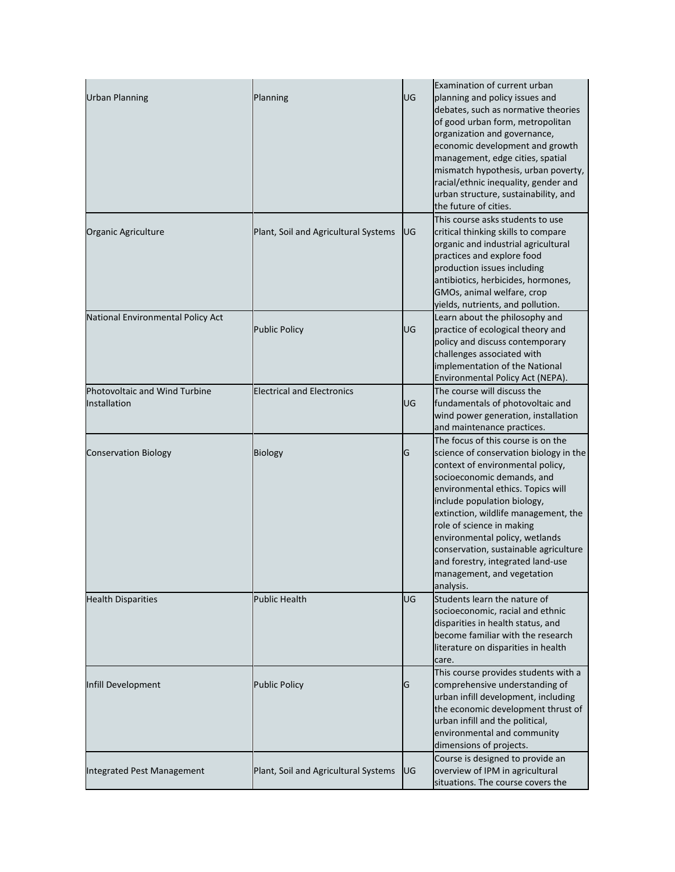| <b>Urban Planning</b>                         | Planning                             | UG | Examination of current urban<br>planning and policy issues and<br>debates, such as normative theories<br>of good urban form, metropolitan<br>organization and governance,<br>economic development and growth<br>management, edge cities, spatial<br>mismatch hypothesis, urban poverty,<br>racial/ethnic inequality, gender and<br>urban structure, sustainability, and<br>the future of cities.                                                   |
|-----------------------------------------------|--------------------------------------|----|----------------------------------------------------------------------------------------------------------------------------------------------------------------------------------------------------------------------------------------------------------------------------------------------------------------------------------------------------------------------------------------------------------------------------------------------------|
| Organic Agriculture                           | Plant, Soil and Agricultural Systems | UG | This course asks students to use<br>critical thinking skills to compare<br>organic and industrial agricultural<br>practices and explore food<br>production issues including<br>antibiotics, herbicides, hormones,<br>GMOs, animal welfare, crop<br>yields, nutrients, and pollution.                                                                                                                                                               |
| National Environmental Policy Act             | <b>Public Policy</b>                 | UG | Learn about the philosophy and<br>practice of ecological theory and<br>policy and discuss contemporary<br>challenges associated with<br>implementation of the National<br>Environmental Policy Act (NEPA).                                                                                                                                                                                                                                         |
| Photovoltaic and Wind Turbine<br>Installation | <b>Electrical and Electronics</b>    | UG | The course will discuss the<br>fundamentals of photovoltaic and<br>wind power generation, installation<br>and maintenance practices.                                                                                                                                                                                                                                                                                                               |
| <b>Conservation Biology</b>                   | <b>Biology</b>                       | G  | The focus of this course is on the<br>science of conservation biology in the<br>context of environmental policy,<br>socioeconomic demands, and<br>environmental ethics. Topics will<br>include population biology,<br>extinction, wildlife management, the<br>role of science in making<br>environmental policy, wetlands<br>conservation, sustainable agriculture<br>and forestry, integrated land-use<br>management, and vegetation<br>analysis. |
| <b>Health Disparities</b>                     | <b>Public Health</b>                 | UG | Students learn the nature of<br>socioeconomic, racial and ethnic<br>disparities in health status, and<br>become familiar with the research<br>literature on disparities in health<br>care.                                                                                                                                                                                                                                                         |
| Infill Development                            | <b>Public Policy</b>                 | G  | This course provides students with a<br>comprehensive understanding of<br>urban infill development, including<br>the economic development thrust of<br>urban infill and the political,<br>environmental and community<br>dimensions of projects.                                                                                                                                                                                                   |
| <b>Integrated Pest Management</b>             | Plant, Soil and Agricultural Systems | UG | Course is designed to provide an<br>overview of IPM in agricultural<br>situations. The course covers the                                                                                                                                                                                                                                                                                                                                           |